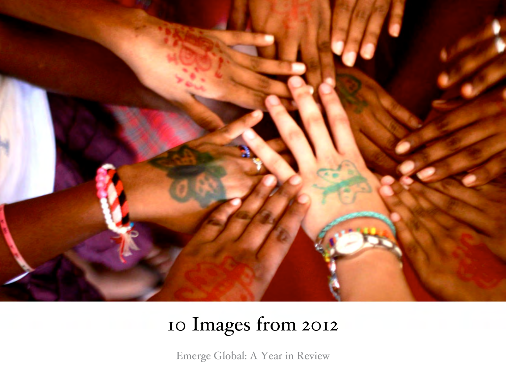

## 10 Images from 2012

Emerge Global: A Year in Review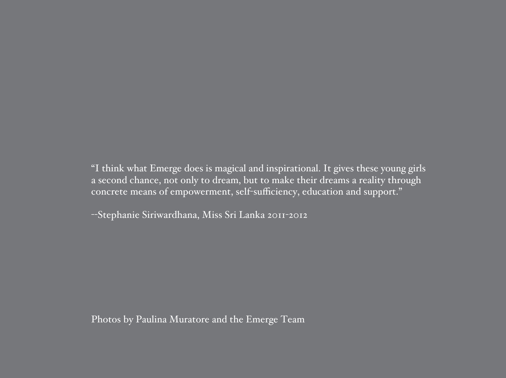"I think what Emerge does is magical and inspirational. It gives these young girls a second chance, not only to dream, but to make their dreams a reality through concrete means of empowerment, self-sufficiency, education and support."

--Stephanie Siriwardhana, Miss Sri Lanka 2011-2012

Photos by Paulina Muratore and the Emerge Team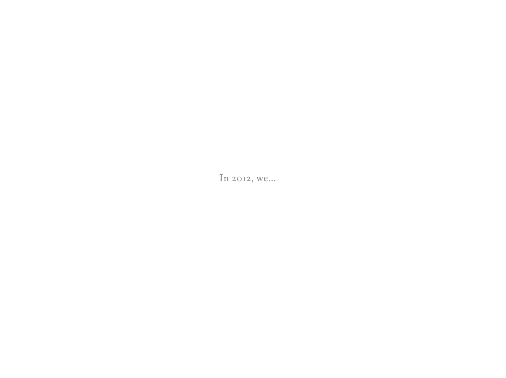In 2012, we...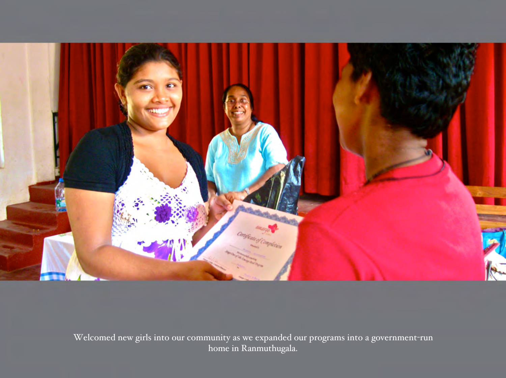

Welcomed new girls into our community as we expanded our programs into a government-run home in Ranmuthugala.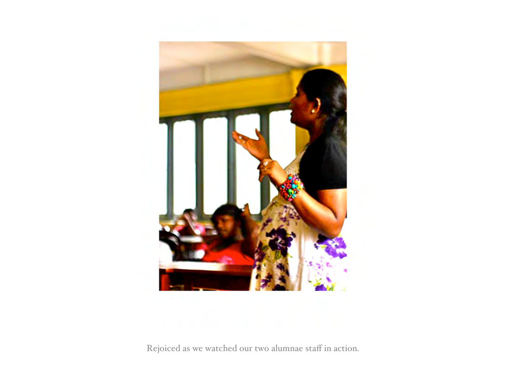

Rejoiced as we watched our two alumnae staff in action.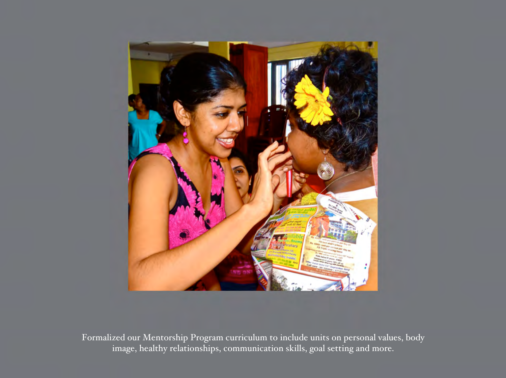

Formalized our Mentorship Program curriculum to include units on personal values, body image, healthy relationships, communication skills, goal setting and more.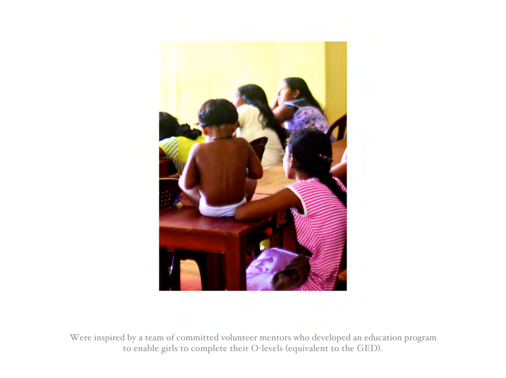

Were inspired by a team of committed volunteer mentors who developed an education program to enable girls to complete their O-levels (equivalent to the GED).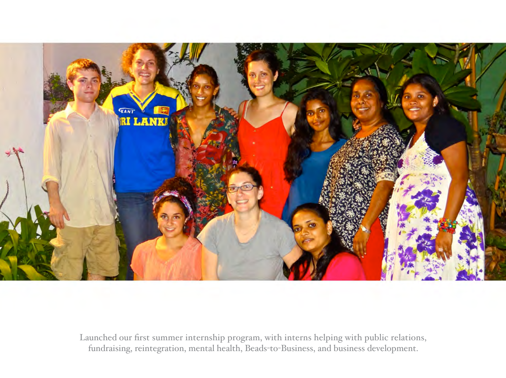

Launched our first summer internship program, with interns helping with public relations, fundraising, reintegration, mental health, Beads-to-Business, and business development.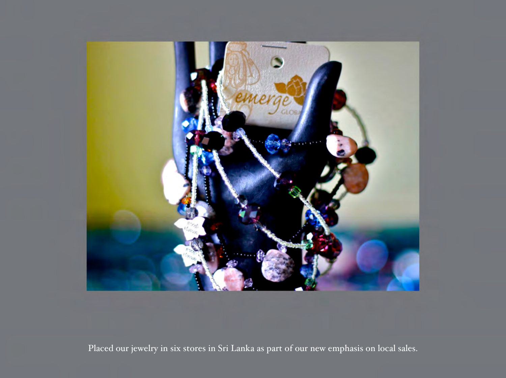

Placed our jewelry in six stores in Sri Lanka as part of our new emphasis on local sales.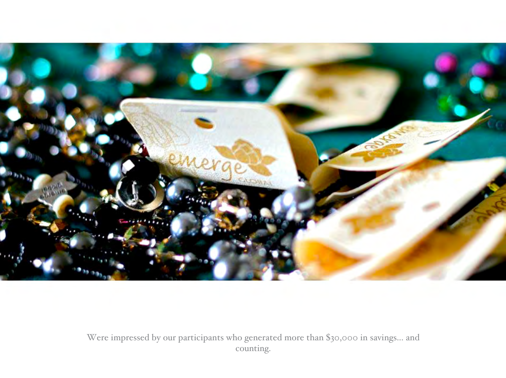

Were impressed by our participants who generated more than \$30,000 in savings... and counting.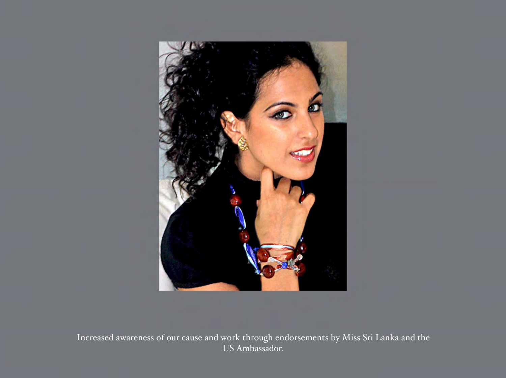

Increased awareness of our cause and work through endorsements by Miss Sri Lanka and the US Ambassador.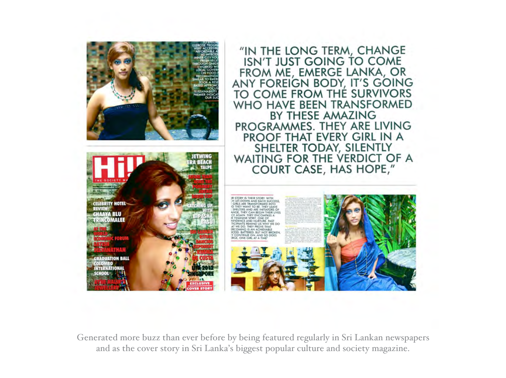

Generated more buzz than ever before by being featured regularly in Sri Lankan newspapers and as the cover story in Sri Lanka's biggest popular culture and society magazine.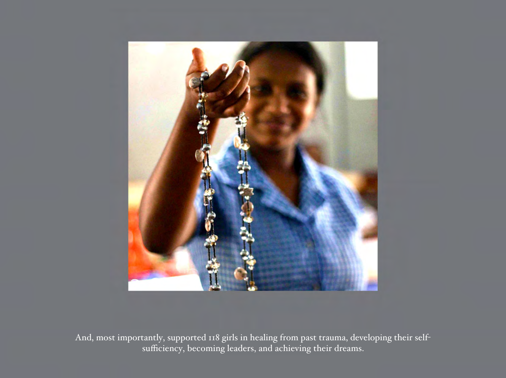

And, most importantly, supported 118 girls in healing from past trauma, developing their selfsufficiency, becoming leaders, and achieving their dreams.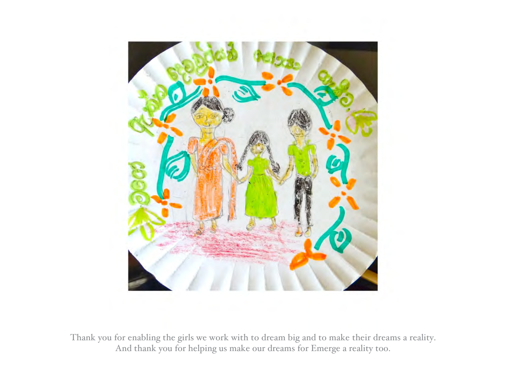

Thank you for enabling the girls we work with to dream big and to make their dreams a reality. And thank you for helping us make our dreams for Emerge a reality too.